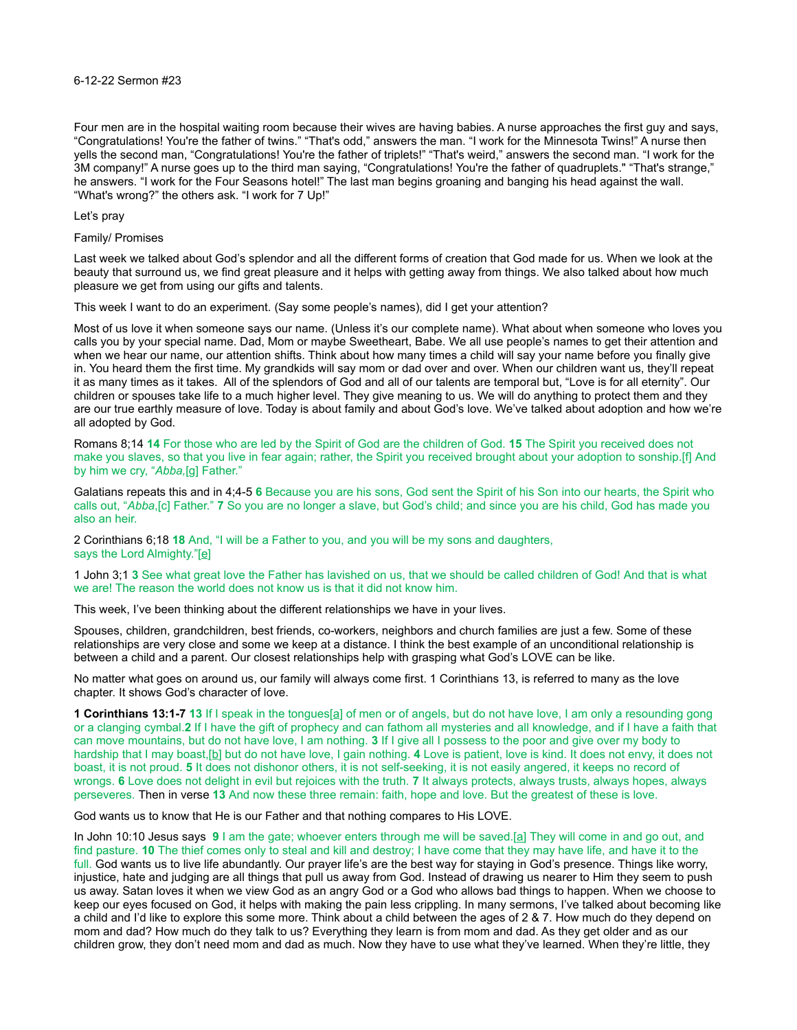## 6-12-22 Sermon #23

Four men are in the hospital waiting room because their wives are having babies. A nurse approaches the first guy and says, "Congratulations! You're the father of twins." "That's odd," answers the man. "I work for the Minnesota Twins!" A nurse then yells the second man, "Congratulations! You're the father of triplets!" "That's weird," answers the second man. "I work for the 3M company!" A nurse goes up to the third man saying, "Congratulations! You're the father of quadruplets." "That's strange," he answers. "I work for the Four Seasons hotel!" The last man begins groaning and banging his head against the wall. "What's wrong?" the others ask. "I work for 7 Up!"

Let's pray

## Family/ Promises

Last week we talked about God's splendor and all the different forms of creation that God made for us. When we look at the beauty that surround us, we find great pleasure and it helps with getting away from things. We also talked about how much pleasure we get from using our gifts and talents.

This week I want to do an experiment. (Say some people's names), did I get your attention?

Most of us love it when someone says our name. (Unless it's our complete name). What about when someone who loves you calls you by your special name. Dad, Mom or maybe Sweetheart, Babe. We all use people's names to get their attention and when we hear our name, our attention shifts. Think about how many times a child will say your name before you finally give in. You heard them the first time. My grandkids will say mom or dad over and over. When our children want us, they'll repeat it as many times as it takes. All of the splendors of God and all of our talents are temporal but, "Love is for all eternity". Our children or spouses take life to a much higher level. They give meaning to us. We will do anything to protect them and they are our true earthly measure of love. Today is about family and about God's love. We've talked about adoption and how we're all adopted by God.

Romans 8;14 **14** For those who are led by the Spirit of God are the children of God. **15** The Spirit you received does not make you slaves, so that you live in fear again; rather, the Spirit you received brought about your adoption to sonship.[f] And by him we cry, "*Abba,*[g] Father."

Galatians repeats this and in 4;4-5 **6** Because you are his sons, God sent the Spirit of his Son into our hearts, the Spirit who calls out, "*Abba*,[c] Father." **7** So you are no longer a slave, but God's child; and since you are his child, God has made you also an heir.

2 Corinthians 6;18 **18** And, "I will be a Father to you, and you will be my sons and daughters, says the Lord Almighty."[\[e\]](https://www.biblegateway.com/passage/?search=2%20Corinthians+6&version=NIV#fen-NIV-28917e)

1 John 3;1 **3** See what great love the Father has lavished on us, that we should be called children of God! And that is what we are! The reason the world does not know us is that it did not know him.

This week, I've been thinking about the different relationships we have in your lives.

Spouses, children, grandchildren, best friends, co-workers, neighbors and church families are just a few. Some of these relationships are very close and some we keep at a distance. I think the best example of an unconditional relationship is between a child and a parent. Our closest relationships help with grasping what God's LOVE can be like.

No matter what goes on around us, our family will always come first. 1 Corinthians 13, is referred to many as the love chapter. It shows God's character of love.

**1 Corinthians 13:1-7 13** If I speak in the tongues[\[a\]](https://www.biblegateway.com/passage/?search=1%20Corinthians+13&version=NIV#fen-NIV-28667a) of men or of angels, but do not have love, I am only a resounding gong or a clanging cymbal.**2** If I have the gift of prophecy and can fathom all mysteries and all knowledge, and if I have a faith that can move mountains, but do not have love, I am nothing. **3** If I give all I possess to the poor and give over my body to hardship that I may boast,[\[b\]](https://www.biblegateway.com/passage/?search=1%20Corinthians+13&version=NIV#fen-NIV-28669b) but do not have love, I gain nothing. **4** Love is patient, love is kind. It does not envy, it does not boast, it is not proud. **5** It does not dishonor others, it is not self-seeking, it is not easily angered, it keeps no record of wrongs. **6** Love does not delight in evil but rejoices with the truth. **7** It always protects, always trusts, always hopes, always perseveres. Then in verse **13** And now these three remain: faith, hope and love. But the greatest of these is love.

God wants us to know that He is our Father and that nothing compares to His LOVE.

In John 10:10 Jesus says **9** I am the gate; whoever enters through me will be saved.[\[a\]](https://www.biblegateway.com/passage/?search=John+10&version=NIV#fen-NIV-26491a) They will come in and go out, and find pasture. **10** The thief comes only to steal and kill and destroy; I have come that they may have life, and have it to the full. God wants us to live life abundantly. Our prayer life's are the best way for staying in God's presence. Things like worry, injustice, hate and judging are all things that pull us away from God. Instead of drawing us nearer to Him they seem to push us away. Satan loves it when we view God as an angry God or a God who allows bad things to happen. When we choose to keep our eyes focused on God, it helps with making the pain less crippling. In many sermons, I've talked about becoming like a child and I'd like to explore this some more. Think about a child between the ages of 2 & 7. How much do they depend on mom and dad? How much do they talk to us? Everything they learn is from mom and dad. As they get older and as our children grow, they don't need mom and dad as much. Now they have to use what they've learned. When they're little, they